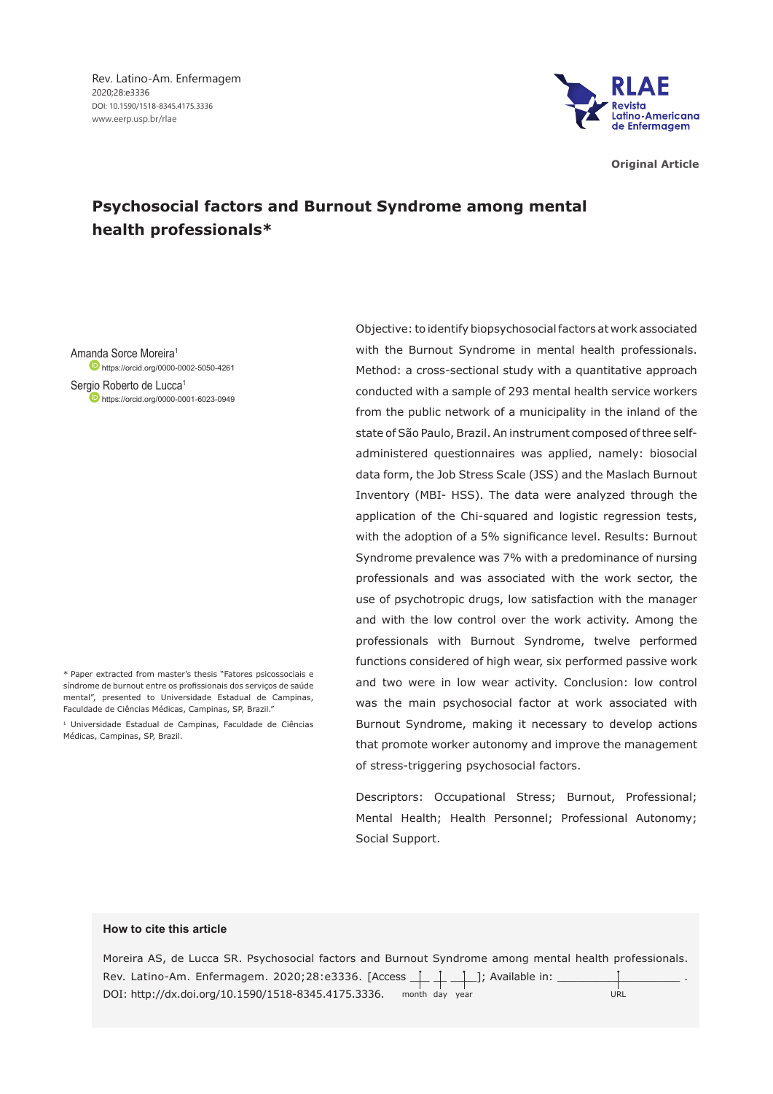

**Original Article**

# **Psychosocial factors and Burnout Syndrome among mental health professionals\***

Amanda Sorce Moreira1 **https://orcid.org/0000-0002-5050-4261** 

Sergio Roberto de Lucca<sup>1</sup> https://orcid.org/0000-0001-6023-0949

\* Paper extracted from master's thesis "Fatores psicossociais e síndrome de burnout entre os profissionais dos serviços de saúde mental", presented to Universidade Estadual de Campinas, Faculdade de Ciências Médicas, Campinas, SP, Brazil."

<sup>1</sup> Universidade Estadual de Campinas, Faculdade de Ciências Médicas, Campinas, SP, Brazil.

Objective: to identify biopsychosocial factors at work associated with the Burnout Syndrome in mental health professionals. Method: a cross-sectional study with a quantitative approach conducted with a sample of 293 mental health service workers from the public network of a municipality in the inland of the state of São Paulo, Brazil. An instrument composed of three selfadministered questionnaires was applied, namely: biosocial data form, the Job Stress Scale (JSS) and the Maslach Burnout Inventory (MBI- HSS). The data were analyzed through the application of the Chi-squared and logistic regression tests, with the adoption of a 5% significance level. Results: Burnout Syndrome prevalence was 7% with a predominance of nursing professionals and was associated with the work sector, the use of psychotropic drugs, low satisfaction with the manager and with the low control over the work activity. Among the professionals with Burnout Syndrome, twelve performed functions considered of high wear, six performed passive work and two were in low wear activity. Conclusion: low control was the main psychosocial factor at work associated with Burnout Syndrome, making it necessary to develop actions that promote worker autonomy and improve the management of stress-triggering psychosocial factors.

Descriptors: Occupational Stress; Burnout, Professional; Mental Health; Health Personnel; Professional Autonomy; Social Support.

### **How to cite this article**

Moreira AS, de Lucca SR. Psychosocial factors and Burnout Syndrome among mental health professionals. Rev. Latino-Am. Enfermagem. 2020;28:e3336. [Access \_ i \_ i \_ i \_]; Available in: DOI: http://dx.doi.org/10.1590/1518-8345.4175.3336. month day year URL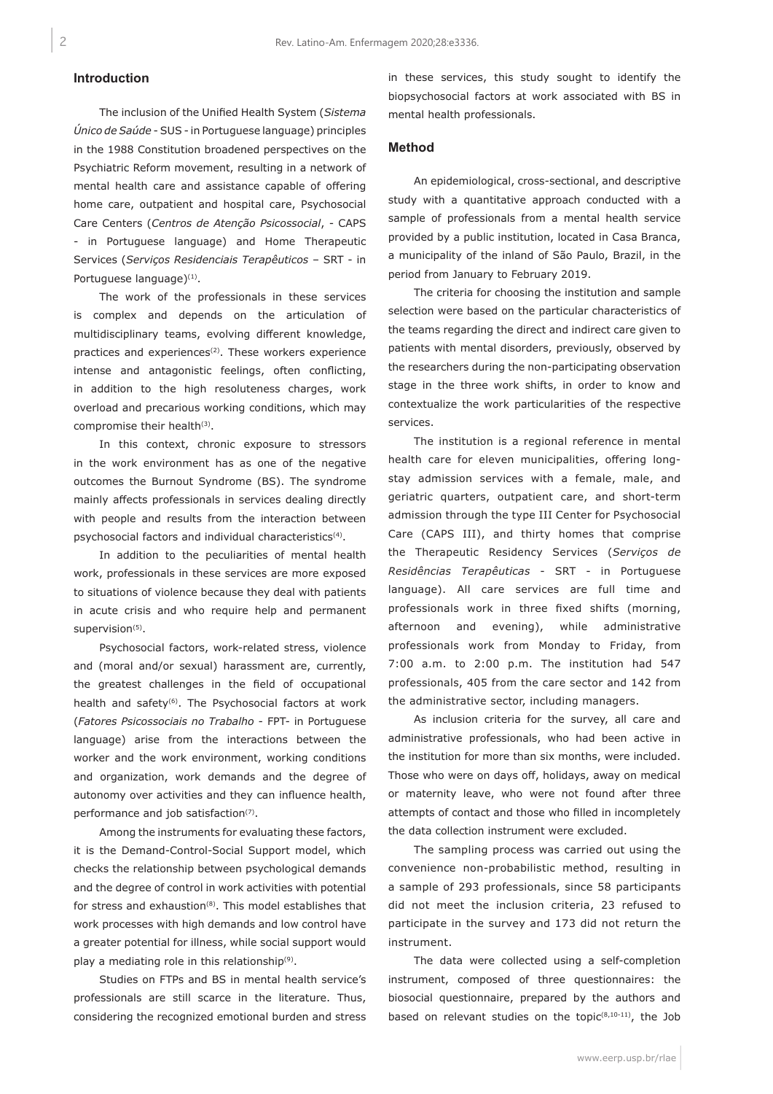## **Introduction**

The inclusion of the Unified Health System (*Sistema Único de Saúde* - SUS - in Portuguese language) principles in the 1988 Constitution broadened perspectives on the Psychiatric Reform movement, resulting in a network of mental health care and assistance capable of offering home care, outpatient and hospital care, Psychosocial Care Centers (*Centros de Atenção Psicossocial*, - CAPS - in Portuguese language) and Home Therapeutic Services (*Serviços Residenciais Terapêuticos* – SRT - in Portuguese language)<sup>(1)</sup>.

The work of the professionals in these services is complex and depends on the articulation of multidisciplinary teams, evolving different knowledge, practices and experiences<sup>(2)</sup>. These workers experience intense and antagonistic feelings, often conflicting, in addition to the high resoluteness charges, work overload and precarious working conditions, which may compromise their health<sup>(3)</sup>.

In this context, chronic exposure to stressors in the work environment has as one of the negative outcomes the Burnout Syndrome (BS). The syndrome mainly affects professionals in services dealing directly with people and results from the interaction between psychosocial factors and individual characteristics(4).

In addition to the peculiarities of mental health work, professionals in these services are more exposed to situations of violence because they deal with patients in acute crisis and who require help and permanent supervision<sup>(5)</sup>.

Psychosocial factors, work-related stress, violence and (moral and/or sexual) harassment are, currently, the greatest challenges in the field of occupational health and safety<sup>(6)</sup>. The Psychosocial factors at work (*Fatores Psicossociais no Trabalho* - FPT- in Portuguese language) arise from the interactions between the worker and the work environment, working conditions and organization, work demands and the degree of autonomy over activities and they can influence health, performance and job satisfaction(7).

Among the instruments for evaluating these factors, it is the Demand-Control-Social Support model, which checks the relationship between psychological demands and the degree of control in work activities with potential for stress and exhaustion(8). This model establishes that work processes with high demands and low control have a greater potential for illness, while social support would play a mediating role in this relationship<sup>(9)</sup>.

Studies on FTPs and BS in mental health service's professionals are still scarce in the literature. Thus, considering the recognized emotional burden and stress

in these services, this study sought to identify the biopsychosocial factors at work associated with BS in mental health professionals.

## **Method**

An epidemiological, cross-sectional, and descriptive study with a quantitative approach conducted with a sample of professionals from a mental health service provided by a public institution, located in Casa Branca, a municipality of the inland of São Paulo, Brazil, in the period from January to February 2019.

The criteria for choosing the institution and sample selection were based on the particular characteristics of the teams regarding the direct and indirect care given to patients with mental disorders, previously, observed by the researchers during the non-participating observation stage in the three work shifts, in order to know and contextualize the work particularities of the respective services.

The institution is a regional reference in mental health care for eleven municipalities, offering longstay admission services with a female, male, and geriatric quarters, outpatient care, and short-term admission through the type III Center for Psychosocial Care (CAPS III), and thirty homes that comprise the Therapeutic Residency Services (*Serviços de Residências Terapêuticas* - SRT - in Portuguese language). All care services are full time and professionals work in three fixed shifts (morning, afternoon and evening), while administrative professionals work from Monday to Friday, from 7:00 a.m. to 2:00 p.m. The institution had 547 professionals, 405 from the care sector and 142 from the administrative sector, including managers.

As inclusion criteria for the survey, all care and administrative professionals, who had been active in the institution for more than six months, were included. Those who were on days off, holidays, away on medical or maternity leave, who were not found after three attempts of contact and those who filled in incompletely the data collection instrument were excluded.

The sampling process was carried out using the convenience non-probabilistic method, resulting in a sample of 293 professionals, since 58 participants did not meet the inclusion criteria, 23 refused to participate in the survey and 173 did not return the instrument.

The data were collected using a self-completion instrument, composed of three questionnaires: the biosocial questionnaire, prepared by the authors and based on relevant studies on the topic<sup>(8,10-11)</sup>, the Job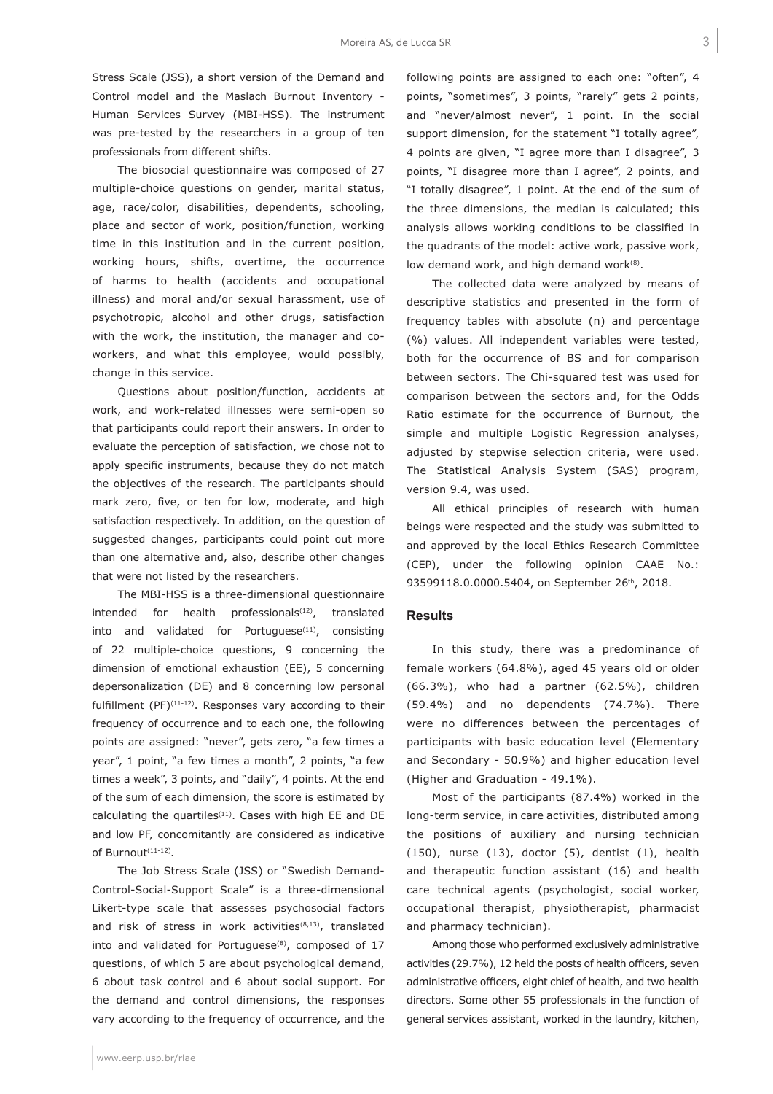Stress Scale (JSS), a short version of the Demand and Control model and the Maslach Burnout Inventory - Human Services Survey (MBI-HSS). The instrument was pre-tested by the researchers in a group of ten professionals from different shifts.

The biosocial questionnaire was composed of 27 multiple-choice questions on gender, marital status, age, race/color, disabilities, dependents, schooling, place and sector of work, position/function, working time in this institution and in the current position, working hours, shifts, overtime, the occurrence of harms to health (accidents and occupational illness) and moral and/or sexual harassment, use of psychotropic, alcohol and other drugs, satisfaction with the work, the institution, the manager and coworkers, and what this employee, would possibly, change in this service.

Questions about position/function, accidents at work, and work-related illnesses were semi-open so that participants could report their answers. In order to evaluate the perception of satisfaction, we chose not to apply specific instruments, because they do not match the objectives of the research. The participants should mark zero, five, or ten for low, moderate, and high satisfaction respectively. In addition, on the question of suggested changes, participants could point out more than one alternative and, also, describe other changes that were not listed by the researchers.

The MBI-HSS is a three-dimensional questionnaire intended for health professionals<sup>(12)</sup>, translated into and validated for Portuguese $(11)$ , consisting of 22 multiple-choice questions, 9 concerning the dimension of emotional exhaustion (EE), 5 concerning depersonalization (DE) and 8 concerning low personal fulfillment (PF) $(11-12)$ . Responses vary according to their frequency of occurrence and to each one, the following points are assigned: "never", gets zero, "a few times a year", 1 point, "a few times a month", 2 points, "a few times a week", 3 points, and "daily", 4 points. At the end of the sum of each dimension, the score is estimated by calculating the quartiles<sup> $(11)$ </sup>. Cases with high EE and DE and low PF, concomitantly are considered as indicative of Burnout(11-12)*.*

The Job Stress Scale (JSS) or "Swedish Demand-Control-Social-Support Scale" is a three-dimensional Likert-type scale that assesses psychosocial factors and risk of stress in work activities<sup>(8,13)</sup>, translated into and validated for Portuguese<sup>(8)</sup>, composed of 17 questions, of which 5 are about psychological demand, 6 about task control and 6 about social support. For the demand and control dimensions, the responses vary according to the frequency of occurrence, and the

following points are assigned to each one: "often", 4 points, "sometimes", 3 points, "rarely" gets 2 points, and "never/almost never", 1 point. In the social support dimension, for the statement "I totally agree", 4 points are given, "I agree more than I disagree", 3 points, "I disagree more than I agree", 2 points, and "I totally disagree", 1 point. At the end of the sum of the three dimensions, the median is calculated; this analysis allows working conditions to be classified in the quadrants of the model: active work, passive work, low demand work, and high demand work $(8)$ .

The collected data were analyzed by means of descriptive statistics and presented in the form of frequency tables with absolute (n) and percentage (%) values. All independent variables were tested, both for the occurrence of BS and for comparison between sectors. The Chi-squared test was used for comparison between the sectors and, for the Odds Ratio estimate for the occurrence of Burnout*,* the simple and multiple Logistic Regression analyses, adjusted by stepwise selection criteria, were used. The Statistical Analysis System (SAS) program, version 9.4, was used.

All ethical principles of research with human beings were respected and the study was submitted to and approved by the local Ethics Research Committee (CEP), under the following opinion CAAE No.: 93599118.0.0000.5404, on September 26th, 2018.

#### **Results**

In this study, there was a predominance of female workers (64.8%), aged 45 years old or older (66.3%), who had a partner (62.5%), children (59.4%) and no dependents (74.7%). There were no differences between the percentages of participants with basic education level (Elementary and Secondary - 50.9%) and higher education level (Higher and Graduation - 49.1%).

Most of the participants (87.4%) worked in the long-term service, in care activities, distributed among the positions of auxiliary and nursing technician (150), nurse (13), doctor (5), dentist (1), health and therapeutic function assistant (16) and health care technical agents (psychologist, social worker, occupational therapist, physiotherapist, pharmacist and pharmacy technician).

Among those who performed exclusively administrative activities (29.7%), 12 held the posts of health officers, seven administrative officers, eight chief of health, and two health directors. Some other 55 professionals in the function of general services assistant, worked in the laundry, kitchen,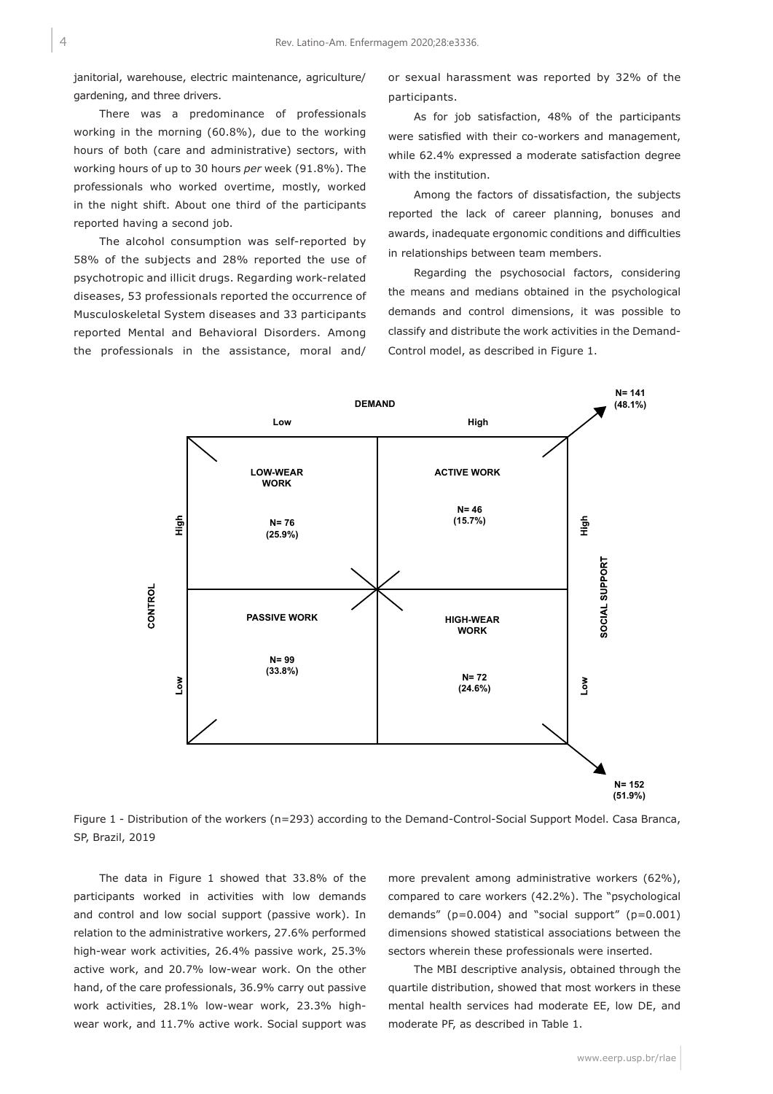janitorial, warehouse, electric maintenance, agriculture/ gardening, and three drivers.

There was a predominance of professionals working in the morning (60.8%), due to the working hours of both (care and administrative) sectors, with working hours of up to 30 hours *per* week (91.8%). The professionals who worked overtime, mostly, worked in the night shift. About one third of the participants reported having a second job.

The alcohol consumption was self-reported by 58% of the subjects and 28% reported the use of psychotropic and illicit drugs. Regarding work-related diseases, 53 professionals reported the occurrence of Musculoskeletal System diseases and 33 participants reported Mental and Behavioral Disorders. Among the professionals in the assistance, moral and/

or sexual harassment was reported by 32% of the participants.

As for job satisfaction, 48% of the participants were satisfied with their co-workers and management, while 62.4% expressed a moderate satisfaction degree with the institution.

Among the factors of dissatisfaction, the subjects reported the lack of career planning, bonuses and awards, inadequate ergonomic conditions and difficulties in relationships between team members.

Regarding the psychosocial factors, considering the means and medians obtained in the psychological demands and control dimensions, it was possible to classify and distribute the work activities in the Demand-Control model, as described in Figure 1.



Figure 1 - Distribution of the workers (n=293) according to the Demand-Control-Social Support Model. Casa Branca, SP, Brazil, 2019

The data in Figure 1 showed that 33.8% of the participants worked in activities with low demands and control and low social support (passive work). In relation to the administrative workers, 27.6% performed high-wear work activities, 26.4% passive work, 25.3% active work, and 20.7% low-wear work. On the other hand, of the care professionals, 36.9% carry out passive work activities, 28.1% low-wear work, 23.3% highwear work, and 11.7% active work. Social support was

more prevalent among administrative workers (62%), compared to care workers (42.2%). The "psychological demands" ( $p=0.004$ ) and "social support" ( $p=0.001$ ) dimensions showed statistical associations between the sectors wherein these professionals were inserted.

The MBI descriptive analysis, obtained through the quartile distribution, showed that most workers in these mental health services had moderate EE, low DE, and moderate PF, as described in Table 1.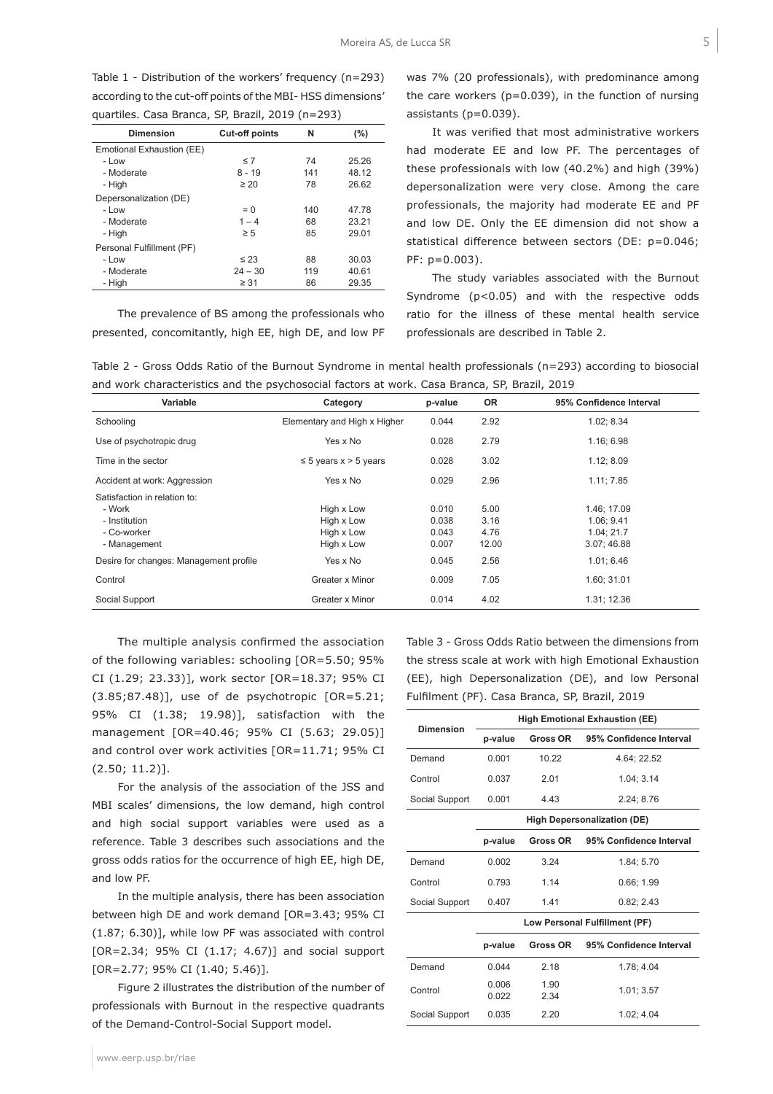Table 1 - Distribution of the workers' frequency (n=293) according to the cut-off points of the MBI- HSS dimensions' quartiles. Casa Branca, SP, Brazil, 2019 (n=293)

| <b>Dimension</b>          | <b>Cut-off points</b> | N   | (%)   |  |
|---------------------------|-----------------------|-----|-------|--|
| Emotional Exhaustion (EE) |                       |     |       |  |
| - Low                     | $\leq 7$              | 74  | 25.26 |  |
| - Moderate                | $8 - 19$              | 141 | 48.12 |  |
| - High                    | $\geq 20$             | 78  | 26.62 |  |
| Depersonalization (DE)    |                       |     |       |  |
| - Low                     | $= 0$                 | 140 | 47.78 |  |
| - Moderate                | $1 - 4$               | 68  | 23.21 |  |
| - High                    | $\geq 5$              | 85  | 29.01 |  |
| Personal Fulfillment (PF) |                       |     |       |  |
| - Low                     | $\leq 23$             | 88  | 30.03 |  |
| - Moderate                | $24 - 30$             | 119 | 40.61 |  |
| - High                    | $\geq 31$             | 86  | 29.35 |  |

The prevalence of BS among the professionals who presented, concomitantly, high EE, high DE, and low PF was 7% (20 professionals), with predominance among the care workers ( $p=0.039$ ), in the function of nursing assistants (p=0.039).

It was verified that most administrative workers had moderate EE and low PF. The percentages of these professionals with low (40.2%) and high (39%) depersonalization were very close. Among the care professionals, the majority had moderate EE and PF and low DE. Only the EE dimension did not show a statistical difference between sectors (DE: p=0.046; PF: p=0.003).

The study variables associated with the Burnout Syndrome  $(p<0.05)$  and with the respective odds ratio for the illness of these mental health service professionals are described in Table 2.

|  |  |  | Table 2 - Gross Odds Ratio of the Burnout Syndrome in mental health professionals (n=293) according to biosocial |  |  |
|--|--|--|------------------------------------------------------------------------------------------------------------------|--|--|
|  |  |  | and work characteristics and the psychosocial factors at work. Casa Branca, SP, Brazil, 2019                     |  |  |

| Variable                                                                               | Category                                             | p-value                          | <b>OR</b>                     | 95% Confidence Interval                              |  |
|----------------------------------------------------------------------------------------|------------------------------------------------------|----------------------------------|-------------------------------|------------------------------------------------------|--|
| Schooling                                                                              | Elementary and High x Higher                         | 0.044                            | 2.92                          | 1.02; 8.34                                           |  |
| Use of psychotropic drug                                                               | Yes x No                                             | 0.028                            | 2.79                          | 1.16; 6.98                                           |  |
| Time in the sector                                                                     | $\leq$ 5 years x $>$ 5 years                         | 0.028                            | 3.02                          | 1.12; 8.09                                           |  |
| Accident at work: Aggression                                                           | Yes x No                                             | 0.029                            | 2.96                          | 1.11; 7.85                                           |  |
| Satisfaction in relation to:<br>- Work<br>- Institution<br>- Co-worker<br>- Management | High x Low<br>High x Low<br>High x Low<br>High x Low | 0.010<br>0.038<br>0.043<br>0.007 | 5.00<br>3.16<br>4.76<br>12.00 | 1.46: 17.09<br>1.06; 9.41<br>1.04:21.7<br>3.07;46.88 |  |
| Desire for changes: Management profile                                                 | Yes x No                                             | 0.045                            | 2.56                          | 1.01; 6.46                                           |  |
| Control                                                                                | Greater x Minor                                      | 0.009                            | 7.05                          | 1.60; 31.01                                          |  |
| Social Support                                                                         | Greater x Minor                                      | 0.014                            | 4.02                          | 1.31; 12.36                                          |  |

The multiple analysis confirmed the association of the following variables: schooling [OR=5.50; 95% CI (1.29; 23.33)], work sector [OR=18.37; 95% CI (3.85;87.48)], use of de psychotropic [OR=5.21; 95% CI (1.38; 19.98)], satisfaction with the management [OR=40.46; 95% CI (5.63; 29.05)] and control over work activities [OR=11.71; 95% CI (2.50; 11.2)].

For the analysis of the association of the JSS and MBI scales' dimensions, the low demand, high control and high social support variables were used as a reference. Table 3 describes such associations and the gross odds ratios for the occurrence of high EE, high DE, and low PF.

In the multiple analysis, there has been association between high DE and work demand [OR=3.43; 95% CI (1.87; 6.30)], while low PF was associated with control [OR=2.34; 95% CI (1.17; 4.67)] and social support [OR=2.77; 95% CI (1.40; 5.46)].

Figure 2 illustrates the distribution of the number of professionals with Burnout in the respective quadrants of the Demand-Control-Social Support model.

Table 3 - Gross Odds Ratio between the dimensions from the stress scale at work with high Emotional Exhaustion (EE), high Depersonalization (DE), and low Personal Fulfilment (PF). Casa Branca, SP, Brazil, 2019

| <b>Dimension</b> | <b>High Emotional Exhaustion (EE)</b> |                 |                         |  |  |  |
|------------------|---------------------------------------|-----------------|-------------------------|--|--|--|
|                  | p-value                               | <b>Gross OR</b> | 95% Confidence Interval |  |  |  |
| Demand           | 0.001                                 | 10 22           | 4.64; 22.52             |  |  |  |
| Control          | 0.037                                 | 2.01            | 1.04:3.14               |  |  |  |
| Social Support   | 0.001                                 | 4.43            | 2.24; 8.76              |  |  |  |
|                  | <b>High Depersonalization (DE)</b>    |                 |                         |  |  |  |
|                  | p-value                               | <b>Gross OR</b> | 95% Confidence Interval |  |  |  |
| Demand           | 0.002                                 | 3.24            | 1.84: 5.70              |  |  |  |
| Control          | 0.793                                 | 1.14            | 0.66; 1.99              |  |  |  |
| Social Support   | 0.407                                 | 1.41            | 0.82; 2.43              |  |  |  |
|                  | Low Personal Fulfillment (PF)         |                 |                         |  |  |  |
|                  | p-value                               | Gross OR        | 95% Confidence Interval |  |  |  |
| Demand           | 0.044                                 | 2.18            | 1.78; 4.04              |  |  |  |
| Control          | 0.006<br>0.022                        | 1.90<br>2.34    | 1.01; 3.57              |  |  |  |
| Social Support   | 0.035                                 | 2.20            | 1.02: 4.04              |  |  |  |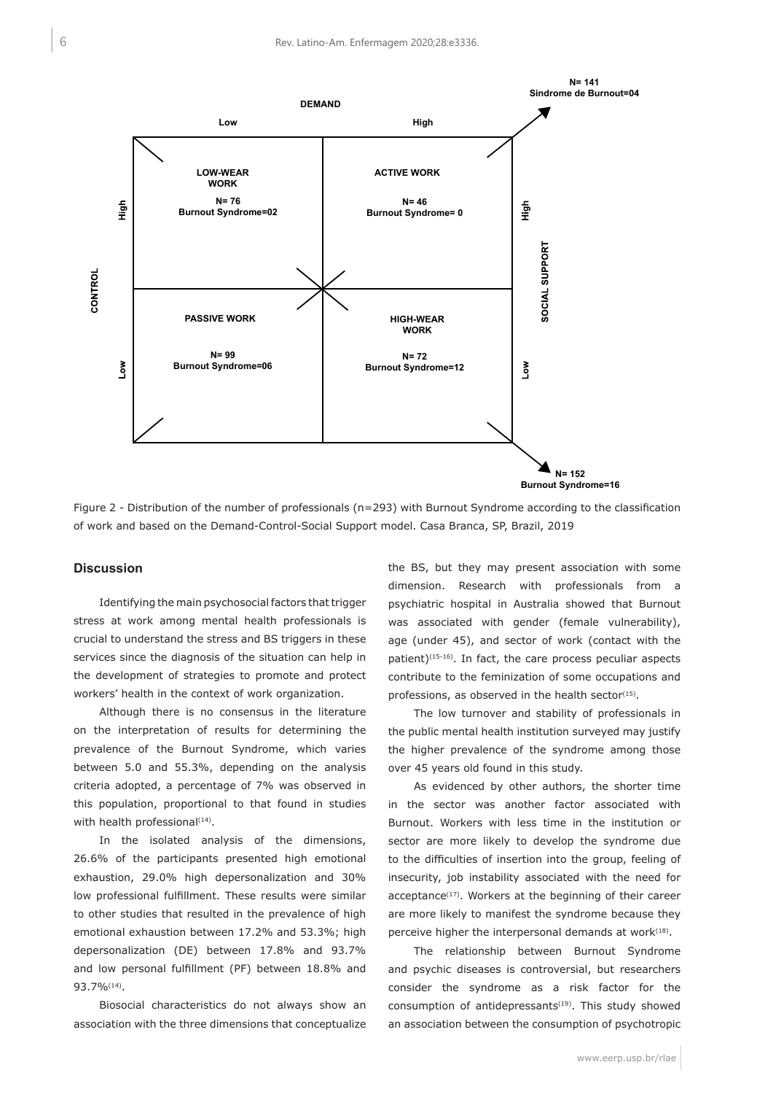

Figure 2 - Distribution of the number of professionals (n=293) with Burnout Syndrome according to the classification of work and based on the Demand-Control-Social Support model. Casa Branca, SP, Brazil, 2019

#### **Discussion**

Identifying the main psychosocial factors that trigger stress at work among mental health professionals is crucial to understand the stress and BS triggers in these services since the diagnosis of the situation can help in the development of strategies to promote and protect workers' health in the context of work organization.

Although there is no consensus in the literature on the interpretation of results for determining the prevalence of the Burnout Syndrome, which varies between 5.0 and 55.3%, depending on the analysis criteria adopted, a percentage of 7% was observed in this population, proportional to that found in studies with health professional<sup>(14)</sup>.

In the isolated analysis of the dimensions, 26.6% of the participants presented high emotional exhaustion, 29.0% high depersonalization and 30% low professional fulfillment. These results were similar to other studies that resulted in the prevalence of high emotional exhaustion between 17.2% and 53.3%; high depersonalization (DE) between 17.8% and 93.7% and low personal fulfillment (PF) between 18.8% and 93.7%(14).

Biosocial characteristics do not always show an association with the three dimensions that conceptualize the BS, but they may present association with some dimension. Research with professionals from a psychiatric hospital in Australia showed that Burnout was associated with gender (female vulnerability), age (under 45), and sector of work (contact with the patient)(15-16). In fact, the care process peculiar aspects contribute to the feminization of some occupations and professions, as observed in the health sector $(15)$ .

The low turnover and stability of professionals in the public mental health institution surveyed may justify the higher prevalence of the syndrome among those over 45 years old found in this study.

As evidenced by other authors, the shorter time in the sector was another factor associated with Burnout. Workers with less time in the institution or sector are more likely to develop the syndrome due to the difficulties of insertion into the group, feeling of insecurity, job instability associated with the need for acceptance<sup>(17)</sup>. Workers at the beginning of their career are more likely to manifest the syndrome because they perceive higher the interpersonal demands at work $(18)$ .

The relationship between Burnout Syndrome and psychic diseases is controversial, but researchers consider the syndrome as a risk factor for the consumption of antidepressants $(19)$ . This study showed an association between the consumption of psychotropic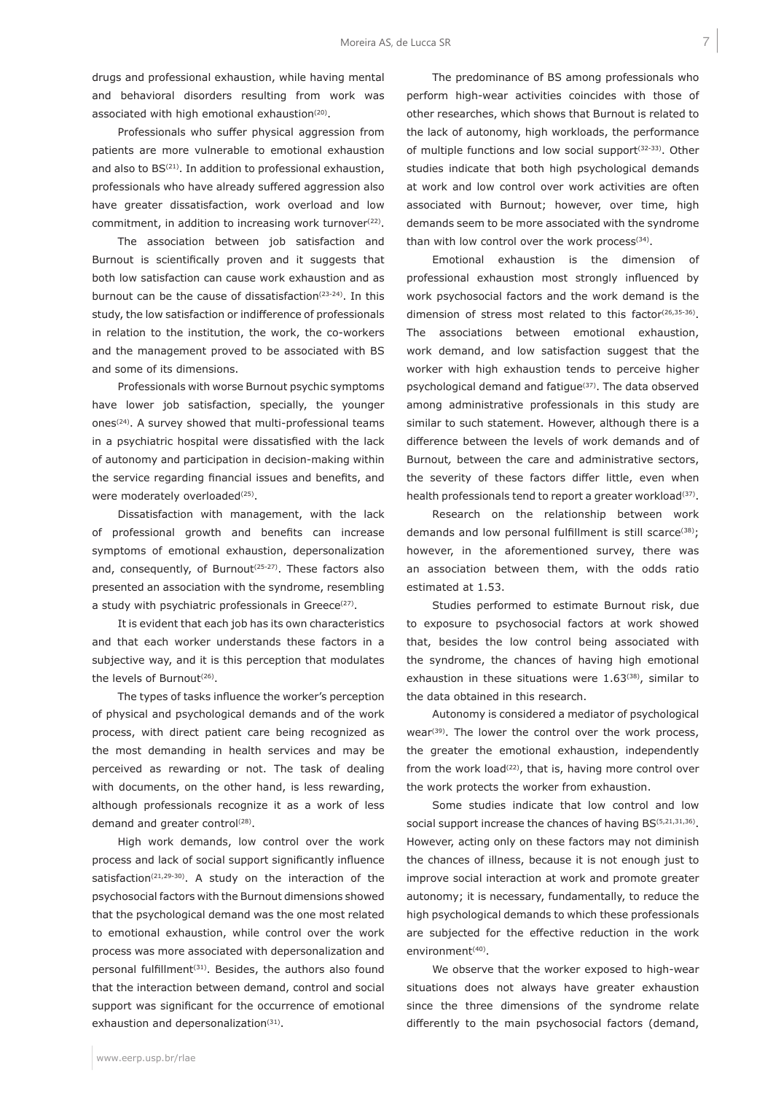drugs and professional exhaustion, while having mental and behavioral disorders resulting from work was associated with high emotional exhaustion<sup>(20)</sup>.

Professionals who suffer physical aggression from patients are more vulnerable to emotional exhaustion and also to BS(21). In addition to professional exhaustion, professionals who have already suffered aggression also have greater dissatisfaction, work overload and low commitment, in addition to increasing work turnover $(22)$ .

The association between job satisfaction and Burnout is scientifically proven and it suggests that both low satisfaction can cause work exhaustion and as burnout can be the cause of dissatisfaction<sup> $(23-24)$ </sup>. In this study, the low satisfaction or indifference of professionals in relation to the institution, the work, the co-workers and the management proved to be associated with BS and some of its dimensions.

Professionals with worse Burnout psychic symptoms have lower job satisfaction, specially, the younger ones(24). A survey showed that multi-professional teams in a psychiatric hospital were dissatisfied with the lack of autonomy and participation in decision-making within the service regarding financial issues and benefits, and were moderately overloaded<sup>(25)</sup>.

Dissatisfaction with management, with the lack of professional growth and benefits can increase symptoms of emotional exhaustion, depersonalization and, consequently, of Burnout<sup>(25-27)</sup>. These factors also presented an association with the syndrome, resembling a study with psychiatric professionals in Greece<sup>(27)</sup>.

It is evident that each job has its own characteristics and that each worker understands these factors in a subjective way, and it is this perception that modulates the levels of Burnout<sup>(26)</sup>.

The types of tasks influence the worker's perception of physical and psychological demands and of the work process, with direct patient care being recognized as the most demanding in health services and may be perceived as rewarding or not. The task of dealing with documents, on the other hand, is less rewarding, although professionals recognize it as a work of less demand and greater control<sup>(28)</sup>.

High work demands, low control over the work process and lack of social support significantly influence satisfaction<sup>(21,29-30)</sup>. A study on the interaction of the psychosocial factors with the Burnout dimensions showed that the psychological demand was the one most related to emotional exhaustion, while control over the work process was more associated with depersonalization and personal fulfillment(31). Besides, the authors also found that the interaction between demand, control and social support was significant for the occurrence of emotional exhaustion and depersonalization<sup>(31)</sup>.

The predominance of BS among professionals who perform high-wear activities coincides with those of other researches, which shows that Burnout is related to the lack of autonomy, high workloads, the performance of multiple functions and low social support<sup>(32-33)</sup>. Other studies indicate that both high psychological demands at work and low control over work activities are often associated with Burnout; however, over time, high demands seem to be more associated with the syndrome than with low control over the work process $(34)$ .

Emotional exhaustion is the dimension of professional exhaustion most strongly influenced by work psychosocial factors and the work demand is the dimension of stress most related to this factor<sup>(26,35-36)</sup>. The associations between emotional exhaustion, work demand, and low satisfaction suggest that the worker with high exhaustion tends to perceive higher psychological demand and fatigue(37). The data observed among administrative professionals in this study are similar to such statement. However, although there is a difference between the levels of work demands and of Burnout*,* between the care and administrative sectors, the severity of these factors differ little, even when health professionals tend to report a greater workload $(37)$ .

Research on the relationship between work demands and low personal fulfillment is still scarce<sup>(38)</sup>; however, in the aforementioned survey, there was an association between them, with the odds ratio estimated at 1.53.

Studies performed to estimate Burnout risk, due to exposure to psychosocial factors at work showed that, besides the low control being associated with the syndrome, the chances of having high emotional exhaustion in these situations were  $1.63^{(38)}$ , similar to the data obtained in this research.

Autonomy is considered a mediator of psychological wear<sup>(39)</sup>. The lower the control over the work process, the greater the emotional exhaustion, independently from the work load<sup>(22)</sup>, that is, having more control over the work protects the worker from exhaustion.

Some studies indicate that low control and low social support increase the chances of having BS<sup>(5,21,31,36)</sup>. However, acting only on these factors may not diminish the chances of illness, because it is not enough just to improve social interaction at work and promote greater autonomy; it is necessary, fundamentally, to reduce the high psychological demands to which these professionals are subjected for the effective reduction in the work environment<sup>(40)</sup>.

We observe that the worker exposed to high-wear situations does not always have greater exhaustion since the three dimensions of the syndrome relate differently to the main psychosocial factors (demand,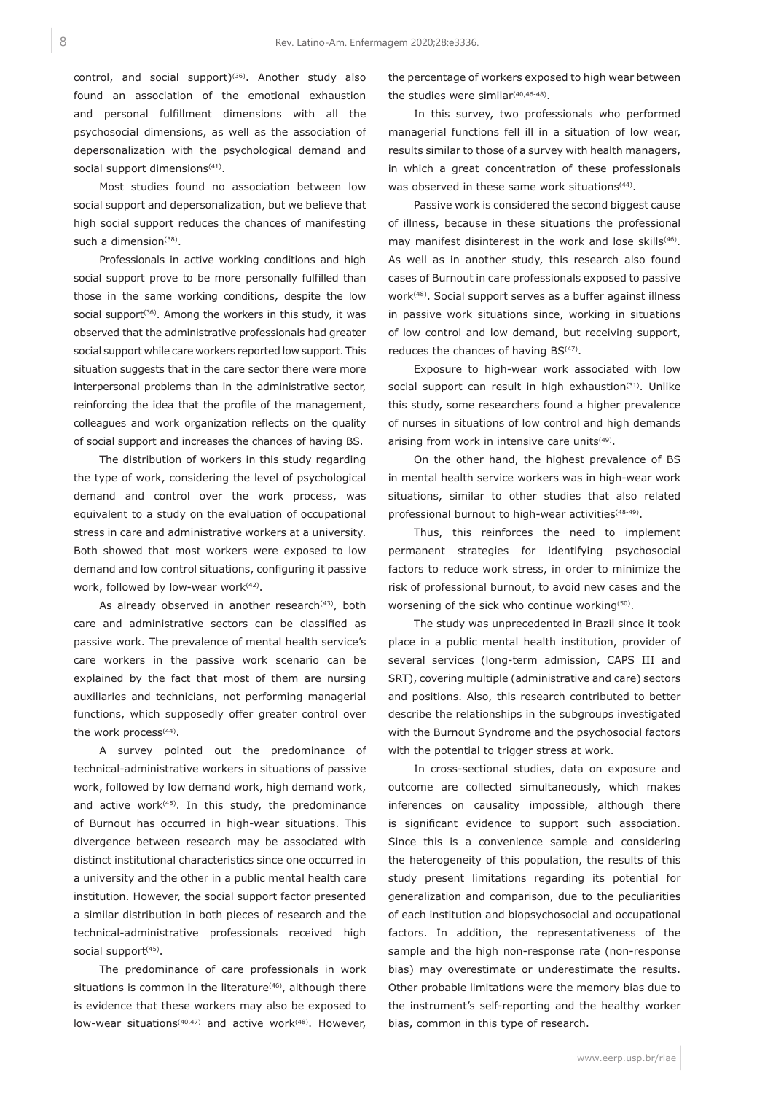control, and social support)<sup>(36)</sup>. Another study also found an association of the emotional exhaustion and personal fulfillment dimensions with all the psychosocial dimensions, as well as the association of depersonalization with the psychological demand and social support dimensions<sup>(41)</sup>.

Most studies found no association between low social support and depersonalization, but we believe that high social support reduces the chances of manifesting such a dimension $(38)$ .

Professionals in active working conditions and high social support prove to be more personally fulfilled than those in the same working conditions, despite the low social support<sup> $(36)$ </sup>. Among the workers in this study, it was observed that the administrative professionals had greater social support while care workers reported low support. This situation suggests that in the care sector there were more interpersonal problems than in the administrative sector, reinforcing the idea that the profile of the management, colleagues and work organization reflects on the quality of social support and increases the chances of having BS.

The distribution of workers in this study regarding the type of work, considering the level of psychological demand and control over the work process, was equivalent to a study on the evaluation of occupational stress in care and administrative workers at a university. Both showed that most workers were exposed to low demand and low control situations, configuring it passive work, followed by low-wear work<sup>(42)</sup>.

As already observed in another research $(43)$ , both care and administrative sectors can be classified as passive work. The prevalence of mental health service's care workers in the passive work scenario can be explained by the fact that most of them are nursing auxiliaries and technicians, not performing managerial functions, which supposedly offer greater control over the work process<sup>(44)</sup>.

A survey pointed out the predominance of technical-administrative workers in situations of passive work, followed by low demand work, high demand work, and active work $(45)$ . In this study, the predominance of Burnout has occurred in high-wear situations. This divergence between research may be associated with distinct institutional characteristics since one occurred in a university and the other in a public mental health care institution. However, the social support factor presented a similar distribution in both pieces of research and the technical-administrative professionals received high social support<sup>(45)</sup>.

The predominance of care professionals in work situations is common in the literature<sup>(46)</sup>, although there is evidence that these workers may also be exposed to low-wear situations<sup>(40,47)</sup> and active work<sup>(48)</sup>. However,

the percentage of workers exposed to high wear between the studies were similar(40,46-48).

In this survey, two professionals who performed managerial functions fell ill in a situation of low wear, results similar to those of a survey with health managers, in which a great concentration of these professionals was observed in these same work situations<sup>(44)</sup>.

Passive work is considered the second biggest cause of illness, because in these situations the professional may manifest disinterest in the work and lose skills<sup>(46)</sup>. As well as in another study, this research also found cases of Burnout in care professionals exposed to passive work<sup>(48)</sup>. Social support serves as a buffer against illness in passive work situations since, working in situations of low control and low demand, but receiving support, reduces the chances of having BS<sup>(47)</sup>.

Exposure to high-wear work associated with low social support can result in high exhaustion<sup> $(31)$ </sup>. Unlike this study, some researchers found a higher prevalence of nurses in situations of low control and high demands arising from work in intensive care units $(49)$ .

On the other hand, the highest prevalence of BS in mental health service workers was in high-wear work situations, similar to other studies that also related professional burnout to high-wear activities<sup>(48-49)</sup>.

Thus, this reinforces the need to implement permanent strategies for identifying psychosocial factors to reduce work stress, in order to minimize the risk of professional burnout, to avoid new cases and the worsening of the sick who continue working<sup>(50)</sup>.

The study was unprecedented in Brazil since it took place in a public mental health institution, provider of several services (long-term admission, CAPS III and SRT), covering multiple (administrative and care) sectors and positions. Also, this research contributed to better describe the relationships in the subgroups investigated with the Burnout Syndrome and the psychosocial factors with the potential to trigger stress at work.

In cross-sectional studies, data on exposure and outcome are collected simultaneously, which makes inferences on causality impossible, although there is significant evidence to support such association. Since this is a convenience sample and considering the heterogeneity of this population, the results of this study present limitations regarding its potential for generalization and comparison, due to the peculiarities of each institution and biopsychosocial and occupational factors. In addition, the representativeness of the sample and the high non-response rate (non-response bias) may overestimate or underestimate the results. Other probable limitations were the memory bias due to the instrument's self-reporting and the healthy worker bias, common in this type of research.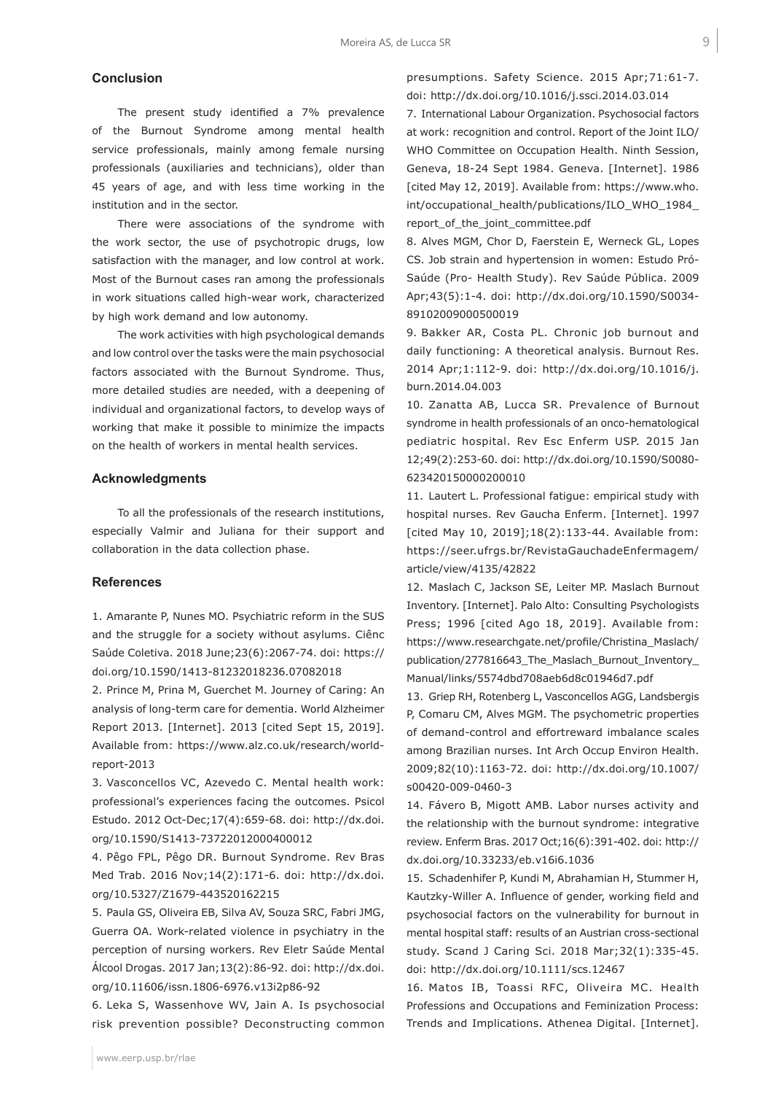## **Conclusion**

The present study identified a 7% prevalence of the Burnout Syndrome among mental health service professionals, mainly among female nursing professionals (auxiliaries and technicians), older than 45 years of age, and with less time working in the institution and in the sector.

There were associations of the syndrome with the work sector, the use of psychotropic drugs, low satisfaction with the manager, and low control at work. Most of the Burnout cases ran among the professionals in work situations called high-wear work, characterized by high work demand and low autonomy.

The work activities with high psychological demands and low control over the tasks were the main psychosocial factors associated with the Burnout Syndrome. Thus, more detailed studies are needed, with a deepening of individual and organizational factors, to develop ways of working that make it possible to minimize the impacts on the health of workers in mental health services.

#### **Acknowledgments**

To all the professionals of the research institutions, especially Valmir and Juliana for their support and collaboration in the data collection phase.

#### **References**

1. Amarante P, Nunes MO. Psychiatric reform in the SUS and the struggle for a society without asylums. Ciênc Saúde Coletiva. 2018 June;23(6):2067-74. doi: https:// doi.org/10.1590/1413-81232018236.07082018

2. Prince M, Prina M, Guerchet M. Journey of Caring: An analysis of long-term care for dementia. World Alzheimer Report 2013. [Internet]. 2013 [cited Sept 15, 2019]. Available from: https://www.alz.co.uk/research/worldreport-2013

3. Vasconcellos VC, Azevedo C. Mental health work: professional's experiences facing the outcomes. Psicol Estudo. 2012 Oct-Dec;17(4):659-68. doi: http://dx.doi. org/10.1590/S1413-73722012000400012

4. Pêgo FPL, Pêgo DR. Burnout Syndrome. Rev Bras Med Trab. 2016 Nov;14(2):171-6. doi: http://dx.doi. org/10.5327/Z1679-443520162215

5. Paula GS, Oliveira EB, Silva AV, Souza SRC, Fabri JMG, Guerra OA. Work-related violence in psychiatry in the perception of nursing workers. Rev Eletr Saúde Mental Álcool Drogas. 2017 Jan;13(2):86-92. doi: http://dx.doi. org/10.11606/issn.1806-6976.v13i2p86-92

6. Leka S, Wassenhove WV, Jain A. Is psychosocial risk prevention possible? Deconstructing common presumptions. Safety Science. 2015 Apr;71:61-7. doi: http://dx.doi.org/10.1016/j.ssci.2014.03.014

7. International Labour Organization. Psychosocial factors at work: recognition and control. Report of the Joint ILO/ WHO Committee on Occupation Health. Ninth Session, Geneva, 18-24 Sept 1984. Geneva. [Internet]. 1986 [cited May 12, 2019]. Available from: https://www.who. int/occupational\_health/publications/ILO\_WHO\_1984\_ report\_of\_the\_joint\_committee.pdf

8. Alves MGM, Chor D, Faerstein E, Werneck GL, Lopes CS. Job strain and hypertension in women: Estudo Pró-Saúde (Pro- Health Study). Rev Saúde Pública. 2009 Apr;43(5):1-4. doi: http://dx.doi.org/10.1590/S0034- 89102009000500019

9. Bakker AR, Costa PL. Chronic job burnout and daily functioning: A theoretical analysis. Burnout Res. 2014 Apr;1:112-9. doi: http://dx.doi.org/10.1016/j. burn.2014.04.003

10. Zanatta AB, Lucca SR. Prevalence of Burnout syndrome in health professionals of an onco-hematological pediatric hospital. Rev Esc Enferm USP. 2015 Jan 12;49(2):253-60. doi: http://dx.doi.org/10.1590/S0080- 623420150000200010

11. Lautert L. Professional fatigue: empirical study with hospital nurses. Rev Gaucha Enferm. [Internet]. 1997 [cited May 10, 2019];18(2):133-44. Available from: https://seer.ufrgs.br/RevistaGauchadeEnfermagem/ article/view/4135/42822

12. Maslach C, Jackson SE, Leiter MP. Maslach Burnout Inventory. [Internet]. Palo Alto: Consulting Psychologists Press; 1996 [cited Ago 18, 2019]. Available from: https://www.researchgate.net/profile/Christina\_Maslach/ publication/277816643 The Maslach Burnout Inventory Manual/links/5574dbd708aeb6d8c01946d7.pdf

13. Griep RH, Rotenberg L, Vasconcellos AGG, Landsbergis P, Comaru CM, Alves MGM. The psychometric properties of demand-control and effortreward imbalance scales among Brazilian nurses. Int Arch Occup Environ Health. 2009;82(10):1163-72. doi: http://dx.doi.org/10.1007/ s00420-009-0460-3

14. Fávero B, Migott AMB. Labor nurses activity and the relationship with the burnout syndrome: integrative review. Enferm Bras. 2017 Oct;16(6):391-402. doi: http:// dx.doi.org/10.33233/eb.v16i6.1036

15. Schadenhifer P, Kundi M, Abrahamian H, Stummer H, Kautzky-Willer A. Influence of gender, working field and psychosocial factors on the vulnerability for burnout in mental hospital staff: results of an Austrian cross-sectional study. Scand J Caring Sci. 2018 Mar;32(1):335-45. doi: http://dx.doi.org/10.1111/scs.12467

16. Matos IB, Toassi RFC, Oliveira MC. Health Professions and Occupations and Feminization Process: Trends and Implications. Athenea Digital. [Internet].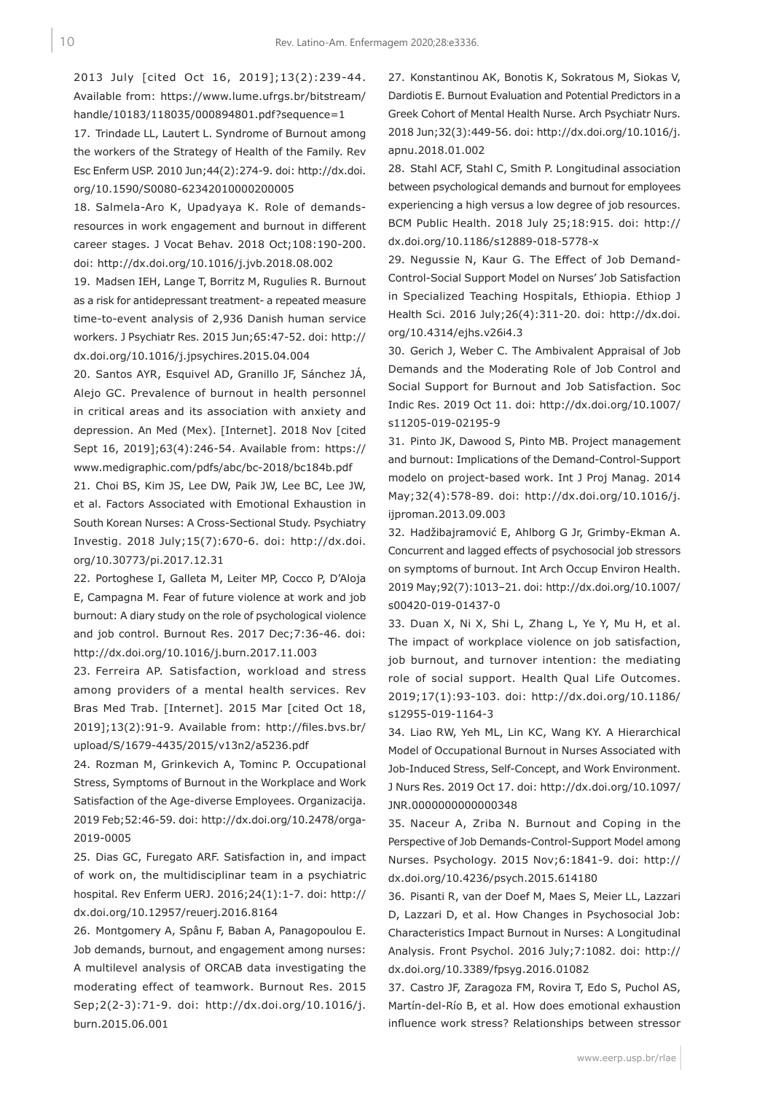2013 July [cited Oct 16, 2019];13(2):239-44. Available from: https://www.lume.ufrgs.br/bitstream/ handle/10183/118035/000894801.pdf?sequence=1

17. Trindade LL, Lautert L. Syndrome of Burnout among the workers of the Strategy of Health of the Family. Rev Esc Enferm USP. 2010 Jun;44(2):274-9. doi: http://dx.doi. org/10.1590/S0080-62342010000200005

18. Salmela-Aro K, Upadyaya K. Role of demandsresources in work engagement and burnout in different career stages. J Vocat Behav. 2018 Oct;108:190-200. doi: http://dx.doi.org/10.1016/j.jvb.2018.08.002

19. Madsen IEH, Lange T, Borritz M, Rugulies R. Burnout as a risk for antidepressant treatment- a repeated measure time-to-event analysis of 2,936 Danish human service workers. J Psychiatr Res. 2015 Jun;65:47-52. doi: http:// dx.doi.org/10.1016/j.jpsychires.2015.04.004

20. Santos AYR, Esquivel AD, Granillo JF, Sánchez JÁ, Alejo GC. Prevalence of burnout in health personnel in critical areas and its association with anxiety and depression. An Med (Mex). [Internet]. 2018 Nov [cited Sept 16, 2019];63(4):246-54. Available from: https:// www.medigraphic.com/pdfs/abc/bc-2018/bc184b.pdf

21. Choi BS, Kim JS, Lee DW, Paik JW, Lee BC, Lee JW, et al. Factors Associated with Emotional Exhaustion in South Korean Nurses: A Cross-Sectional Study. Psychiatry Investig. 2018 July;15(7):670-6. doi: http://dx.doi. org/10.30773/pi.2017.12.31

22. Portoghese I, Galleta M, Leiter MP, Cocco P, D'Aloja E, Campagna M. Fear of future violence at work and job burnout: A diary study on the role of psychological violence and job control. Burnout Res. 2017 Dec;7:36-46. doi: http://dx.doi.org/10.1016/j.burn.2017.11.003

23. Ferreira AP. Satisfaction, workload and stress among providers of a mental health services. Rev Bras Med Trab. [Internet]. 2015 Mar [cited Oct 18, 2019];13(2):91-9. Available from: http://files.bvs.br/ upload/S/1679-4435/2015/v13n2/a5236.pdf

24. Rozman M, Grinkevich A, Tominc P. Occupational Stress, Symptoms of Burnout in the Workplace and Work Satisfaction of the Age-diverse Employees. Organizacija. 2019 Feb;52:46-59. doi: http://dx.doi.org/10.2478/orga-2019-0005

25. Dias GC, Furegato ARF. Satisfaction in, and impact of work on, the multidisciplinar team in a psychiatric hospital. Rev Enferm UERJ. 2016;24(1):1-7. doi: http:// dx.doi.org/10.12957/reuerj.2016.8164

26. Montgomery A, Spânu F, Baban A, Panagopoulou E. Job demands, burnout, and engagement among nurses: A multilevel analysis of ORCAB data investigating the moderating effect of teamwork. Burnout Res. 2015 Sep;2(2-3):71-9. doi: http://dx.doi.org/10.1016/j. burn.2015.06.001

27. Konstantinou AK, Bonotis K, Sokratous M, Siokas V, Dardiotis E. Burnout Evaluation and Potential Predictors in a Greek Cohort of Mental Health Nurse. Arch Psychiatr Nurs. 2018 Jun;32(3):449-56. doi: http://dx.doi.org/10.1016/j. apnu.2018.01.002

28. Stahl ACF, Stahl C, Smith P. Longitudinal association between psychological demands and burnout for employees experiencing a high versus a low degree of job resources. BCM Public Health. 2018 July 25;18:915. doi: http:// dx.doi.org/10.1186/s12889-018-5778-x

29. Negussie N, Kaur G. The Effect of Job Demand-Control-Social Support Model on Nurses' Job Satisfaction in Specialized Teaching Hospitals, Ethiopia. Ethiop J Health Sci. 2016 July;26(4):311-20. doi: http://dx.doi. org/10.4314/ejhs.v26i4.3

30. Gerich J, Weber C. The Ambivalent Appraisal of Job Demands and the Moderating Role of Job Control and Social Support for Burnout and Job Satisfaction. Soc Indic Res. 2019 Oct 11. doi: http://dx.doi.org/10.1007/ s11205-019-02195-9

31. Pinto JK, Dawood S, Pinto MB. Project management and burnout: Implications of the Demand-Control-Support modelo on project-based work. Int J Proj Manag. 2014 May;32(4):578-89. doi: http://dx.doi.org/10.1016/j. ijproman.2013.09.003

32. Hadžibajramović E, Ahlborg G Jr, Grimby-Ekman A. Concurrent and lagged effects of psychosocial job stressors on symptoms of burnout. Int Arch Occup Environ Health. 2019 May;92(7):1013–21. doi: http://dx.doi.org/10.1007/ s00420-019-01437-0

33. Duan X, Ni X, Shi L, Zhang L, Ye Y, Mu H, et al. The impact of workplace violence on job satisfaction, job burnout, and turnover intention: the mediating role of social support. Health Qual Life Outcomes. 2019;17(1):93-103. doi: http://dx.doi.org/10.1186/ s12955-019-1164-3

34. Liao RW, Yeh ML, Lin KC, Wang KY. A Hierarchical Model of Occupational Burnout in Nurses Associated with Job-Induced Stress, Self-Concept, and Work Environment. J Nurs Res. 2019 Oct 17. doi: http://dx.doi.org/10.1097/ JNR.0000000000000348

35. Naceur A, Zriba N. Burnout and Coping in the Perspective of Job Demands-Control-Support Model among Nurses. Psychology. 2015 Nov;6:1841-9. doi: http:// dx.doi.org/10.4236/psych.2015.614180

36. Pisanti R, van der Doef M, Maes S, Meier LL, Lazzari D, Lazzari D, et al. How Changes in Psychosocial Job: Characteristics Impact Burnout in Nurses: A Longitudinal Analysis. Front Psychol. 2016 July;7:1082. doi: http:// dx.doi.org/10.3389/fpsyg.2016.01082

37. Castro JF, Zaragoza FM, Rovira T, Edo S, Puchol AS, Martín-del-Río B, et al. How does emotional exhaustion influence work stress? Relationships between stressor